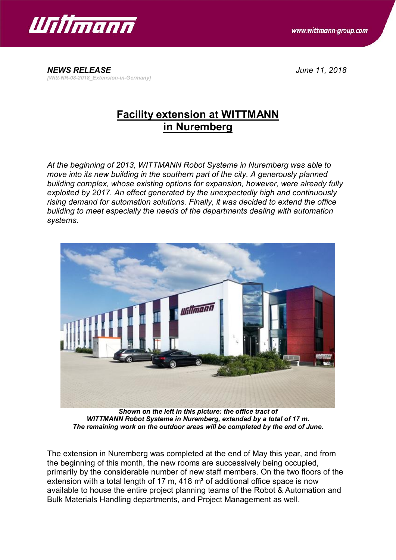

www.wittmann-group.com

*NEWS RELEASE June 11, 2018 [Witt-NR-08-2018\_Extension-in-Germany]*

## **Facility extension at WITTMANN in Nuremberg**

*At the beginning of 2013, WITTMANN Robot Systeme in Nuremberg was able to move into its new building in the southern part of the city. A generously planned building complex, whose existing options for expansion, however, were already fully exploited by 2017. An effect generated by the unexpectedly high and continuously rising demand for automation solutions. Finally, it was decided to extend the office building to meet especially the needs of the departments dealing with automation systems.*



*Shown on the left in this picture: the office tract of WITTMANN Robot Systeme in Nuremberg, extended by a total of 17 m. The remaining work on the outdoor areas will be completed by the end of June.*

The extension in Nuremberg was completed at the end of May this year, and from the beginning of this month, the new rooms are successively being occupied, primarily by the considerable number of new staff members. On the two floors of the extension with a total length of 17 m, 418 m<sup>2</sup> of additional office space is now available to house the entire project planning teams of the Robot & Automation and Bulk Materials Handling departments, and Project Management as well.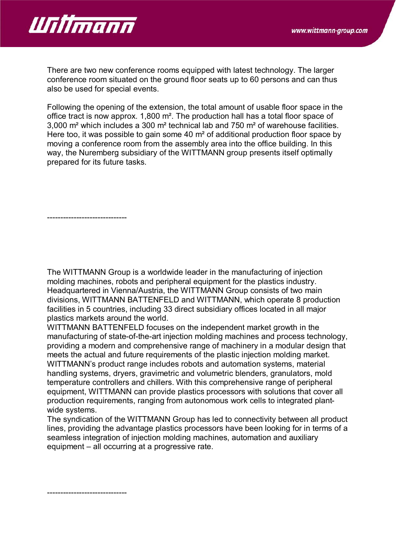

There are two new conference rooms equipped with latest technology. The larger conference room situated on the ground floor seats up to 60 persons and can thus also be used for special events.

Following the opening of the extension, the total amount of usable floor space in the office tract is now approx. 1,800 m². The production hall has a total floor space of 3,000 m² which includes a 300 m² technical lab and 750 m² of warehouse facilities. Here too, it was possible to gain some 40 m<sup>2</sup> of additional production floor space by moving a conference room from the assembly area into the office building. In this way, the Nuremberg subsidiary of the WITTMANN group presents itself optimally prepared for its future tasks.

------------------------------

The WITTMANN Group is a worldwide leader in the manufacturing of injection molding machines, robots and peripheral equipment for the plastics industry. Headquartered in Vienna/Austria, the WITTMANN Group consists of two main divisions, WITTMANN BATTENFELD and WITTMANN, which operate 8 production facilities in 5 countries, including 33 direct subsidiary offices located in all major plastics markets around the world.

WITTMANN BATTENFELD focuses on the independent market growth in the manufacturing of state-of-the-art injection molding machines and process technology, providing a modern and comprehensive range of machinery in a modular design that meets the actual and future requirements of the plastic injection molding market. WITTMANN's product range includes robots and automation systems, material handling systems, dryers, gravimetric and volumetric blenders, granulators, mold temperature controllers and chillers. With this comprehensive range of peripheral equipment, WITTMANN can provide plastics processors with solutions that cover all production requirements, ranging from autonomous work cells to integrated plantwide systems.

The syndication of the WITTMANN Group has led to connectivity between all product lines, providing the advantage plastics processors have been looking for in terms of a seamless integration of injection molding machines, automation and auxiliary equipment – all occurring at a progressive rate.

------------------------------